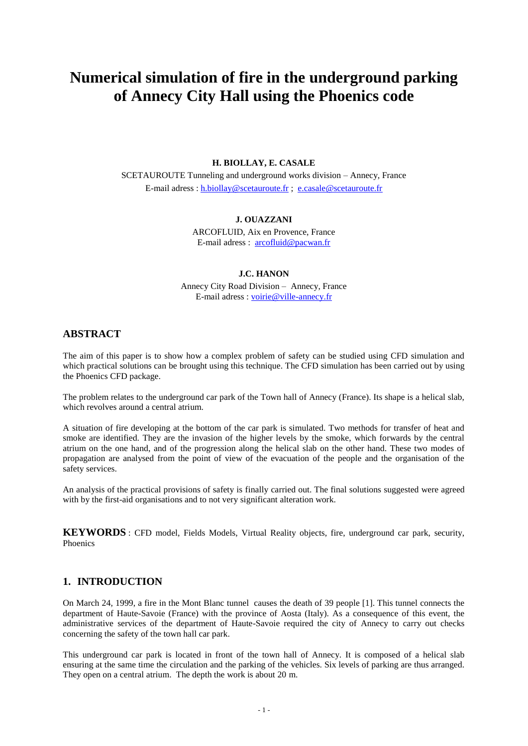# **Numerical simulation of fire in the underground parking of Annecy City Hall using the Phoenics code**

### **H. BIOLLAY, E. CASALE**

SCETAUROUTE Tunneling and underground works division – Annecy, France E-mail adress : [h.biollay@scetauroute.fr](mailto:h.biollay@scetauroute.fr) ; [e.casale@scetauroute.fr](mailto:e.casale@scetauroute.fr)

### **J. OUAZZANI**

ARCOFLUID, Aix en Provence, France E-mail adress : [arcofluid@pacwan.fr](mailto:arcofluid@pacwan.fr)

#### **J.C. HANON**

Annecy City Road Division – Annecy, France E-mail adress : [voirie@ville-annecy.fr](mailto:voirie@ville-annecy.fr)

# **ABSTRACT**

The aim of this paper is to show how a complex problem of safety can be studied using CFD simulation and which practical solutions can be brought using this technique. The CFD simulation has been carried out by using the Phoenics CFD package.

The problem relates to the underground car park of the Town hall of Annecy (France). Its shape is a helical slab, which revolves around a central atrium.

A situation of fire developing at the bottom of the car park is simulated. Two methods for transfer of heat and smoke are identified. They are the invasion of the higher levels by the smoke, which forwards by the central atrium on the one hand, and of the progression along the helical slab on the other hand. These two modes of propagation are analysed from the point of view of the evacuation of the people and the organisation of the safety services.

An analysis of the practical provisions of safety is finally carried out. The final solutions suggested were agreed with by the first-aid organisations and to not very significant alteration work.

**KEYWORDS** : CFD model, Fields Models, Virtual Reality objects, fire, underground car park, security, Phoenics

# **1. INTRODUCTION**

On March 24, 1999, a fire in the Mont Blanc tunnel causes the death of 39 people [1]. This tunnel connects the department of Haute-Savoie (France) with the province of Aosta (Italy). As a consequence of this event, the administrative services of the department of Haute-Savoie required the city of Annecy to carry out checks concerning the safety of the town hall car park.

This underground car park is located in front of the town hall of Annecy. It is composed of a helical slab ensuring at the same time the circulation and the parking of the vehicles. Six levels of parking are thus arranged. They open on a central atrium. The depth the work is about 20 m.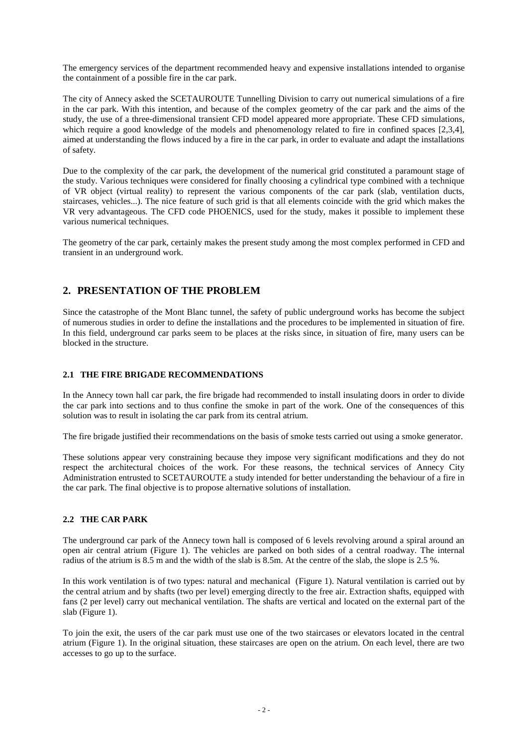The emergency services of the department recommended heavy and expensive installations intended to organise the containment of a possible fire in the car park.

The city of Annecy asked the SCETAUROUTE Tunnelling Division to carry out numerical simulations of a fire in the car park. With this intention, and because of the complex geometry of the car park and the aims of the study, the use of a three-dimensional transient CFD model appeared more appropriate. These CFD simulations, which require a good knowledge of the models and phenomenology related to fire in confined spaces [2,3,4], aimed at understanding the flows induced by a fire in the car park, in order to evaluate and adapt the installations of safety.

Due to the complexity of the car park, the development of the numerical grid constituted a paramount stage of the study. Various techniques were considered for finally choosing a cylindrical type combined with a technique of VR object (virtual reality) to represent the various components of the car park (slab, ventilation ducts, staircases, vehicles...). The nice feature of such grid is that all elements coincide with the grid which makes the VR very advantageous. The CFD code PHOENICS, used for the study, makes it possible to implement these various numerical techniques.

The geometry of the car park, certainly makes the present study among the most complex performed in CFD and transient in an underground work.

# **2. PRESENTATION OF THE PROBLEM**

Since the catastrophe of the Mont Blanc tunnel, the safety of public underground works has become the subject of numerous studies in order to define the installations and the procedures to be implemented in situation of fire. In this field, underground car parks seem to be places at the risks since, in situation of fire, many users can be blocked in the structure.

# **2.1 THE FIRE BRIGADE RECOMMENDATIONS**

In the Annecy town hall car park, the fire brigade had recommended to install insulating doors in order to divide the car park into sections and to thus confine the smoke in part of the work. One of the consequences of this solution was to result in isolating the car park from its central atrium.

The fire brigade justified their recommendations on the basis of smoke tests carried out using a smoke generator.

These solutions appear very constraining because they impose very significant modifications and they do not respect the architectural choices of the work. For these reasons, the technical services of Annecy City Administration entrusted to SCETAUROUTE a study intended for better understanding the behaviour of a fire in the car park. The final objective is to propose alternative solutions of installation.

### **2.2 THE CAR PARK**

The underground car park of the Annecy town hall is composed of 6 levels revolving around a spiral around an open air central atrium [\(Figure 1\)](#page-2-0). The vehicles are parked on both sides of a central roadway. The internal radius of the atrium is 8.5 m and the width of the slab is 8.5m. At the centre of the slab, the slope is 2.5 %.

In this work ventilation is of two types: natural and mechanical [\(Figure 1\)](#page-2-0). Natural ventilation is carried out by the central atrium and by shafts (two per level) emerging directly to the free air. Extraction shafts, equipped with fans (2 per level) carry out mechanical ventilation. The shafts are vertical and located on the external part of the slab [\(Figure 1\)](#page-2-0).

To join the exit, the users of the car park must use one of the two staircases or elevators located in the central atrium [\(Figure 1\)](#page-2-0). In the original situation, these staircases are open on the atrium. On each level, there are two accesses to go up to the surface.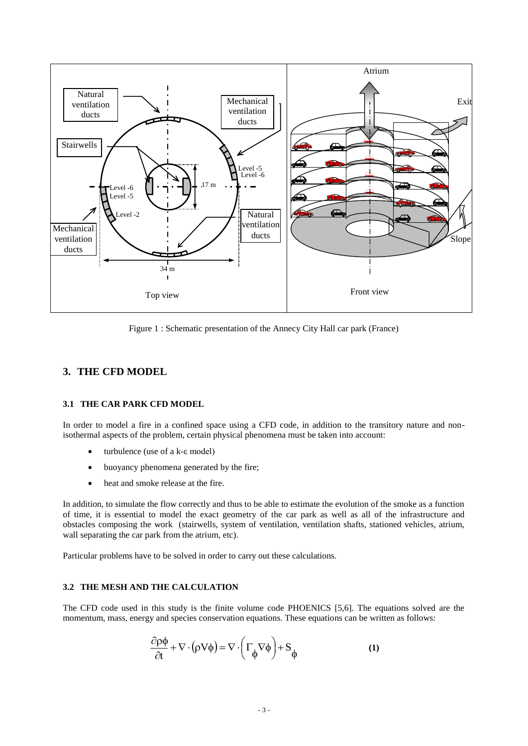

Figure 1 : Schematic presentation of the Annecy City Hall car park (France)

# <span id="page-2-0"></span>**3. THE CFD MODEL**

### **3.1 THE CAR PARK CFD MODEL**

In order to model a fire in a confined space using a CFD code, in addition to the transitory nature and nonisothermal aspects of the problem, certain physical phenomena must be taken into account:

- turbulence (use of a k-ε model)
- buoyancy phenomena generated by the fire;
- heat and smoke release at the fire.

In addition, to simulate the flow correctly and thus to be able to estimate the evolution of the smoke as a function of time, it is essential to model the exact geometry of the car park as well as all of the infrastructure and obstacles composing the work (stairwells, system of ventilation, ventilation shafts, stationed vehicles, atrium, wall separating the car park from the atrium, etc).

Particular problems have to be solved in order to carry out these calculations.

# **3.2 THE MESH AND THE CALCULATION**

The CFD code used in this study is the finite volume code PHOENICS [5,6]. The equations solved are the momentum, mass, energy and species conservation equations. These equations can be written as follows:

$$
\frac{\partial \rho \phi}{\partial t} + \nabla \cdot (\rho V \phi) = \nabla \cdot \left( \Gamma_{\phi} \nabla \phi \right) + S_{\phi}
$$
 (1)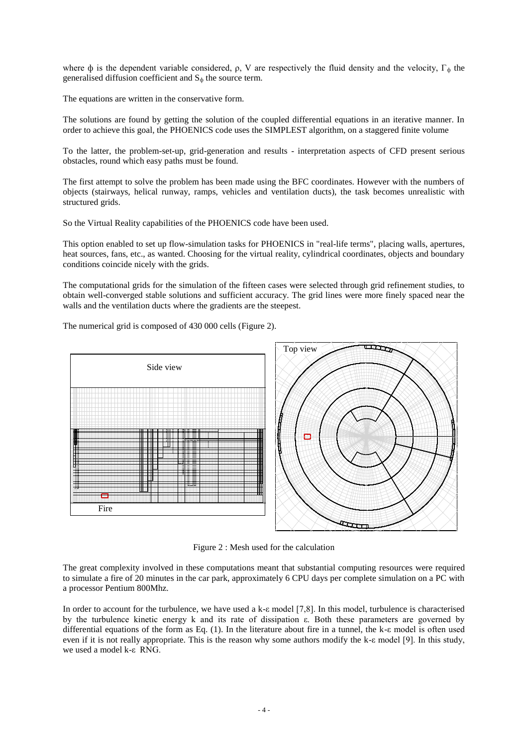where  $\phi$  is the dependent variable considered, ρ, V are respectively the fluid density and the velocity,  $\Gamma_{\phi}$  the generalised diffusion coefficient and  $S_{\phi}$  the source term.

The equations are written in the conservative form.

The solutions are found by getting the solution of the coupled differential equations in an iterative manner. In order to achieve this goal, the PHOENICS code uses the SIMPLEST algorithm, on a staggered finite volume

To the latter, the problem-set-up, grid-generation and results - interpretation aspects of CFD present serious obstacles, round which easy paths must be found.

The first attempt to solve the problem has been made using the BFC coordinates. However with the numbers of objects (stairways, helical runway, ramps, vehicles and ventilation ducts), the task becomes unrealistic with structured grids.

So the Virtual Reality capabilities of the PHOENICS code have been used.

This option enabled to set up flow-simulation tasks for PHOENICS in "real-life terms", placing walls, apertures, heat sources, fans, etc., as wanted. Choosing for the virtual reality, cylindrical coordinates, objects and boundary conditions coincide nicely with the grids.

The computational grids for the simulation of the fifteen cases were selected through grid refinement studies, to obtain well-converged stable solutions and sufficient accuracy. The grid lines were more finely spaced near the walls and the ventilation ducts where the gradients are the steepest.

The numerical grid is composed of 430 000 cells [\(Figure 2\)](#page-3-0).



Figure 2 : Mesh used for the calculation

<span id="page-3-0"></span>The great complexity involved in these computations meant that substantial computing resources were required to simulate a fire of 20 minutes in the car park, approximately 6 CPU days per complete simulation on a PC with a processor Pentium 800Mhz.

In order to account for the turbulence, we have used a k-ε model [7,8]. In this model, turbulence is characterised by the turbulence kinetic energy k and its rate of dissipation ε. Both these parameters are governed by differential equations of the form as Eq. (1). In the literature about fire in a tunnel, the k-ε model is often used even if it is not really appropriate. This is the reason why some authors modify the k-ε model [9]. In this study, we used a model k-ε RNG.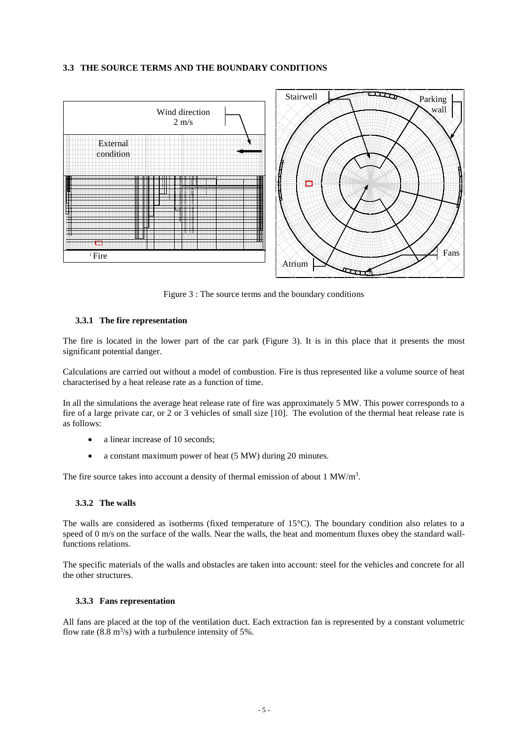#### **3.3 THE SOURCE TERMS AND THE BOUNDARY CONDITIONS**



Figure 3 : The source terms and the boundary conditions

#### <span id="page-4-0"></span>**3.3.1 The fire representation**

The fire is located in the lower part of the car park [\(Figure 3\)](#page-4-0). It is in this place that it presents the most significant potential danger.

Calculations are carried out without a model of combustion. Fire is thus represented like a volume source of heat characterised by a heat release rate as a function of time.

In all the simulations the average heat release rate of fire was approximately 5 MW. This power corresponds to a fire of a large private car, or 2 or 3 vehicles of small size [10]. The evolution of the thermal heat release rate is as follows:

- a linear increase of 10 seconds;
- a constant maximum power of heat (5 MW) during 20 minutes.

The fire source takes into account a density of thermal emission of about  $1 \text{ MW/m}^3$ .

### **3.3.2 The walls**

The walls are considered as isotherms (fixed temperature of 15°C). The boundary condition also relates to a speed of 0 m/s on the surface of the walls. Near the walls, the heat and momentum fluxes obey the standard wallfunctions relations.

The specific materials of the walls and obstacles are taken into account: steel for the vehicles and concrete for all the other structures.

#### **3.3.3 Fans representation**

All fans are placed at the top of the ventilation duct. Each extraction fan is represented by a constant volumetric flow rate  $(8.8 \text{ m}^3/\text{s})$  with a turbulence intensity of 5%.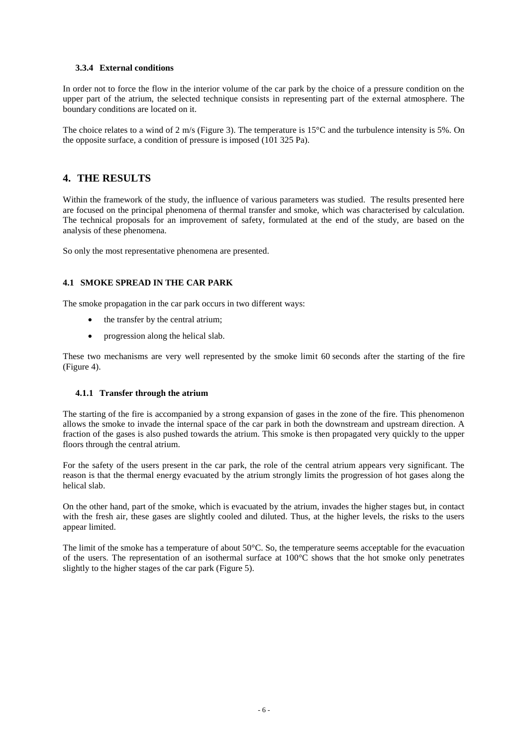### **3.3.4 External conditions**

In order not to force the flow in the interior volume of the car park by the choice of a pressure condition on the upper part of the atrium, the selected technique consists in representing part of the external atmosphere. The boundary conditions are located on it.

The choice relates to a wind of 2 m/s [\(Figure 3\)](#page-4-0). The temperature is 15<sup>o</sup>C and the turbulence intensity is 5%. On the opposite surface, a condition of pressure is imposed (101 325 Pa).

# **4. THE RESULTS**

Within the framework of the study, the influence of various parameters was studied. The results presented here are focused on the principal phenomena of thermal transfer and smoke, which was characterised by calculation. The technical proposals for an improvement of safety, formulated at the end of the study, are based on the analysis of these phenomena.

So only the most representative phenomena are presented.

### **4.1 SMOKE SPREAD IN THE CAR PARK**

The smoke propagation in the car park occurs in two different ways:

- the transfer by the central atrium;
- progression along the helical slab.

These two mechanisms are very well represented by the smoke limit 60 seconds after the starting of the fire [\(Figure 4\)](#page-6-0).

### **4.1.1 Transfer through the atrium**

The starting of the fire is accompanied by a strong expansion of gases in the zone of the fire. This phenomenon allows the smoke to invade the internal space of the car park in both the downstream and upstream direction. A fraction of the gases is also pushed towards the atrium. This smoke is then propagated very quickly to the upper floors through the central atrium.

For the safety of the users present in the car park, the role of the central atrium appears very significant. The reason is that the thermal energy evacuated by the atrium strongly limits the progression of hot gases along the helical slab.

On the other hand, part of the smoke, which is evacuated by the atrium, invades the higher stages but, in contact with the fresh air, these gases are slightly cooled and diluted. Thus, at the higher levels, the risks to the users appear limited.

The limit of the smoke has a temperature of about 50°C. So, the temperature seems acceptable for the evacuation of the users. The representation of an isothermal surface at 100°C shows that the hot smoke only penetrates slightly to the higher stages of the car park [\(Figure 5\)](#page-6-1).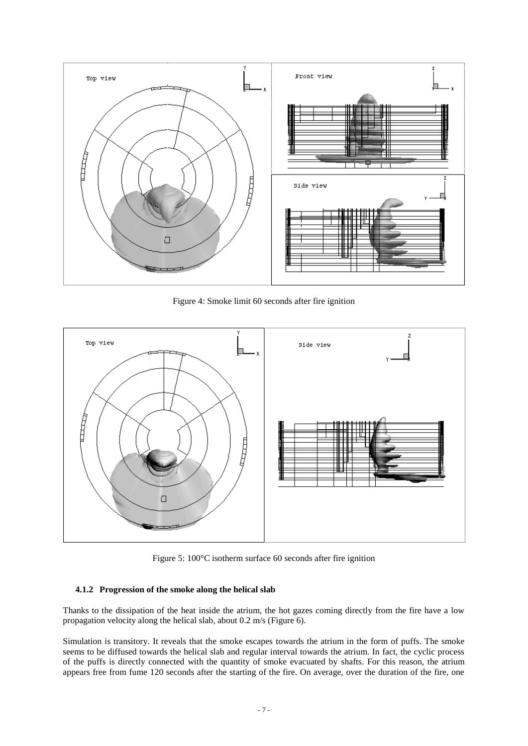

Figure 4: Smoke limit 60 seconds after fire ignition

<span id="page-6-0"></span>

Figure 5: 100°C isotherm surface 60 seconds after fire ignition

### <span id="page-6-1"></span>**4.1.2 Progression of the smoke along the helical slab**

Thanks to the dissipation of the heat inside the atrium, the hot gazes coming directly from the fire have a low propagation velocity along the helical slab, about 0.2 m/s [\(Figure 6\)](#page-7-0).

Simulation is transitory. It reveals that the smoke escapes towards the atrium in the form of puffs. The smoke seems to be diffused towards the helical slab and regular interval towards the atrium. In fact, the cyclic process of the puffs is directly connected with the quantity of smoke evacuated by shafts. For this reason, the atrium appears free from fume 120 seconds after the starting of the fire. On average, over the duration of the fire, one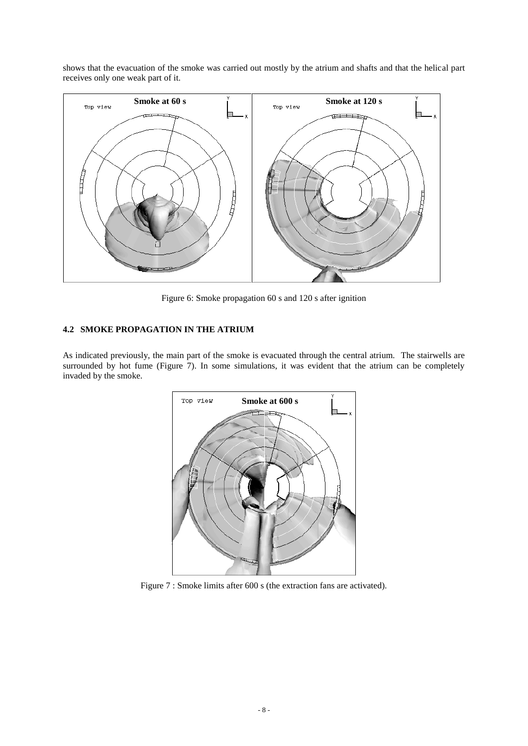shows that the evacuation of the smoke was carried out mostly by the atrium and shafts and that the helical part receives only one weak part of it.



Figure 6: Smoke propagation 60 s and 120 s after ignition

# <span id="page-7-0"></span>**4.2 SMOKE PROPAGATION IN THE ATRIUM**

As indicated previously, the main part of the smoke is evacuated through the central atrium. The stairwells are surrounded by hot fume [\(Figure 7\)](#page-7-1). In some simulations, it was evident that the atrium can be completely invaded by the smoke.



<span id="page-7-1"></span>Figure 7 : Smoke limits after 600 s (the extraction fans are activated).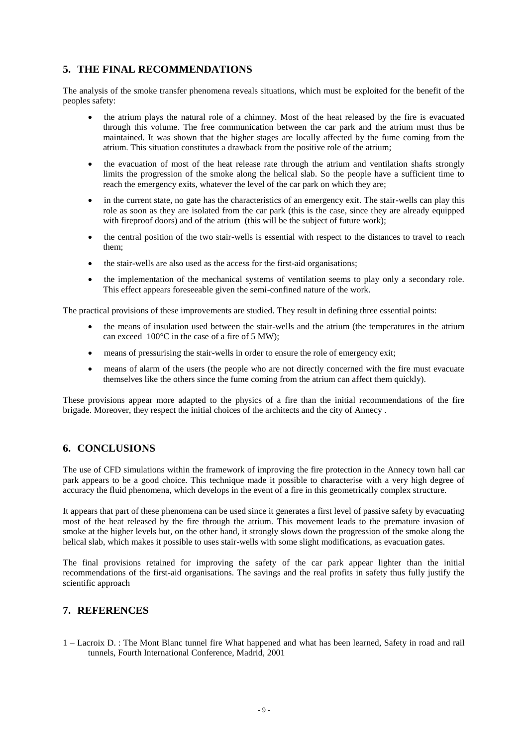# **5. THE FINAL RECOMMENDATIONS**

The analysis of the smoke transfer phenomena reveals situations, which must be exploited for the benefit of the peoples safety:

- the atrium plays the natural role of a chimney. Most of the heat released by the fire is evacuated through this volume. The free communication between the car park and the atrium must thus be maintained. It was shown that the higher stages are locally affected by the fume coming from the atrium. This situation constitutes a drawback from the positive role of the atrium;
- the evacuation of most of the heat release rate through the atrium and ventilation shafts strongly limits the progression of the smoke along the helical slab. So the people have a sufficient time to reach the emergency exits, whatever the level of the car park on which they are;
- in the current state, no gate has the characteristics of an emergency exit. The stair-wells can play this role as soon as they are isolated from the car park (this is the case, since they are already equipped with fireproof doors) and of the atrium (this will be the subject of future work);
- the central position of the two stair-wells is essential with respect to the distances to travel to reach them;
- the stair-wells are also used as the access for the first-aid organisations;
- the implementation of the mechanical systems of ventilation seems to play only a secondary role. This effect appears foreseeable given the semi-confined nature of the work.

The practical provisions of these improvements are studied. They result in defining three essential points:

- the means of insulation used between the stair-wells and the atrium (the temperatures in the atrium can exceed 100°C in the case of a fire of 5 MW);
- means of pressurising the stair-wells in order to ensure the role of emergency exit;
- means of alarm of the users (the people who are not directly concerned with the fire must evacuate themselves like the others since the fume coming from the atrium can affect them quickly).

These provisions appear more adapted to the physics of a fire than the initial recommendations of the fire brigade. Moreover, they respect the initial choices of the architects and the city of Annecy .

# **6. CONCLUSIONS**

The use of CFD simulations within the framework of improving the fire protection in the Annecy town hall car park appears to be a good choice. This technique made it possible to characterise with a very high degree of accuracy the fluid phenomena, which develops in the event of a fire in this geometrically complex structure.

It appears that part of these phenomena can be used since it generates a first level of passive safety by evacuating most of the heat released by the fire through the atrium. This movement leads to the premature invasion of smoke at the higher levels but, on the other hand, it strongly slows down the progression of the smoke along the helical slab, which makes it possible to uses stair-wells with some slight modifications, as evacuation gates.

The final provisions retained for improving the safety of the car park appear lighter than the initial recommendations of the first-aid organisations. The savings and the real profits in safety thus fully justify the scientific approach

# **7. REFERENCES**

1 – Lacroix D. : The Mont Blanc tunnel fire What happened and what has been learned, Safety in road and rail tunnels, Fourth International Conference, Madrid, 2001